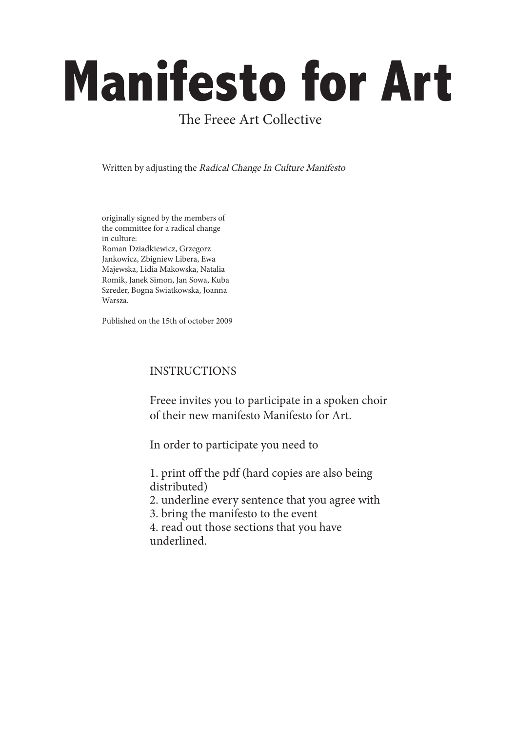# **Manifesto for Art**

# The Freee Art Collective

Written by adjusting the Radical Change In Culture Manifesto

originally signed by the members of the committee for a radical change in culture: Roman Dziadkiewicz, Grzegorz Jankowicz, Zbigniew Libera, Ewa Majewska, Lidia Makowska, Natalia Romik, Janek Simon, Jan Sowa, Kuba Szreder, Bogna Swiatkowska, Joanna Warsza.

Published on the 15th of october 2009

# INSTRUCTIONS

Freee invites you to participate in a spoken choir of their new manifesto Manifesto for Art.

In order to participate you need to

1. print off the pdf (hard copies are also being distributed)

2. underline every sentence that you agree with

3. bring the manifesto to the event

4. read out those sections that you have underlined.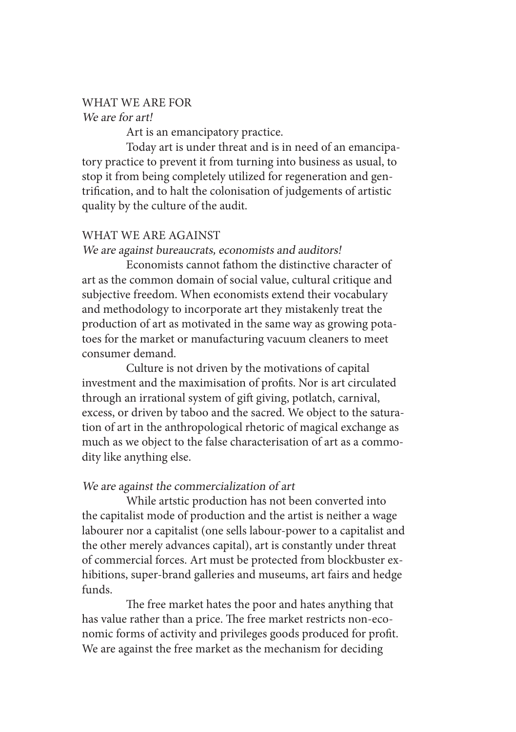# WHAT WE ARE FOR

#### We are for art!

Art is an emancipatory practice.

Today art is under threat and is in need of an emancipatory practice to prevent it from turning into business as usual, to stop it from being completely utilized for regeneration and gentrification, and to halt the colonisation of judgements of artistic quality by the culture of the audit.

### WHAT WE ARE AGAINST

#### We are against bureaucrats, economists and auditors!

Economists cannot fathom the distinctive character of art as the common domain of social value, cultural critique and subjective freedom. When economists extend their vocabulary and methodology to incorporate art they mistakenly treat the production of art as motivated in the same way as growing potatoes for the market or manufacturing vacuum cleaners to meet consumer demand.

Culture is not driven by the motivations of capital investment and the maximisation of profits. Nor is art circulated through an irrational system of gift giving, potlatch, carnival, excess, or driven by taboo and the sacred. We object to the saturation of art in the anthropological rhetoric of magical exchange as much as we object to the false characterisation of art as a commodity like anything else.

### We are against the commercialization of art

While artstic production has not been converted into the capitalist mode of production and the artist is neither a wage labourer nor a capitalist (one sells labour-power to a capitalist and the other merely advances capital), art is constantly under threat of commercial forces. Art must be protected from blockbuster exhibitions, super-brand galleries and museums, art fairs and hedge funds.

The free market hates the poor and hates anything that has value rather than a price. The free market restricts non-economic forms of activity and privileges goods produced for profit. We are against the free market as the mechanism for deciding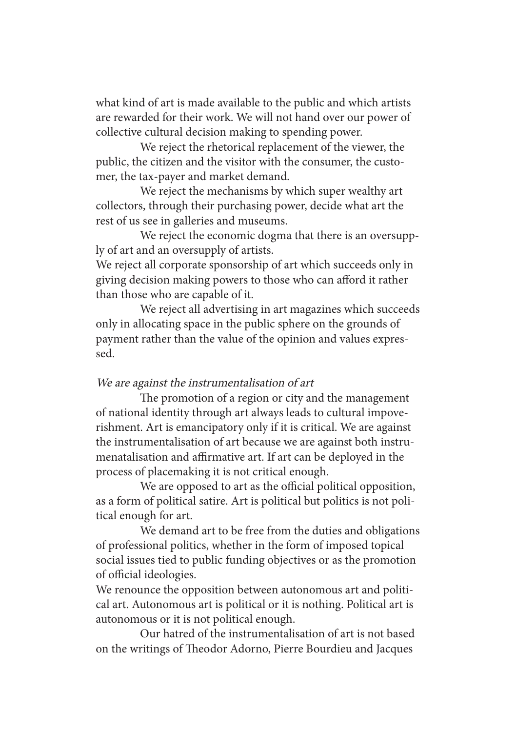what kind of art is made available to the public and which artists are rewarded for their work. We will not hand over our power of collective cultural decision making to spending power.

We reject the rhetorical replacement of the viewer, the public, the citizen and the visitor with the consumer, the customer, the tax-payer and market demand.

We reject the mechanisms by which super wealthy art collectors, through their purchasing power, decide what art the rest of us see in galleries and museums.

We reject the economic dogma that there is an oversupply of art and an oversupply of artists.

We reject all corporate sponsorship of art which succeeds only in giving decision making powers to those who can afford it rather than those who are capable of it.

We reject all advertising in art magazines which succeeds only in allocating space in the public sphere on the grounds of payment rather than the value of the opinion and values expressed.

### We are against the instrumentalisation of art

The promotion of a region or city and the management of national identity through art always leads to cultural impoverishment. Art is emancipatory only if it is critical. We are against the instrumentalisation of art because we are against both instrumenatalisation and affirmative art. If art can be deployed in the process of placemaking it is not critical enough.

We are opposed to art as the official political opposition, as a form of political satire. Art is political but politics is not political enough for art.

We demand art to be free from the duties and obligations of professional politics, whether in the form of imposed topical social issues tied to public funding objectives or as the promotion of official ideologies.

We renounce the opposition between autonomous art and political art. Autonomous art is political or it is nothing. Political art is autonomous or it is not political enough.

Our hatred of the instrumentalisation of art is not based on the writings of Theodor Adorno, Pierre Bourdieu and Jacques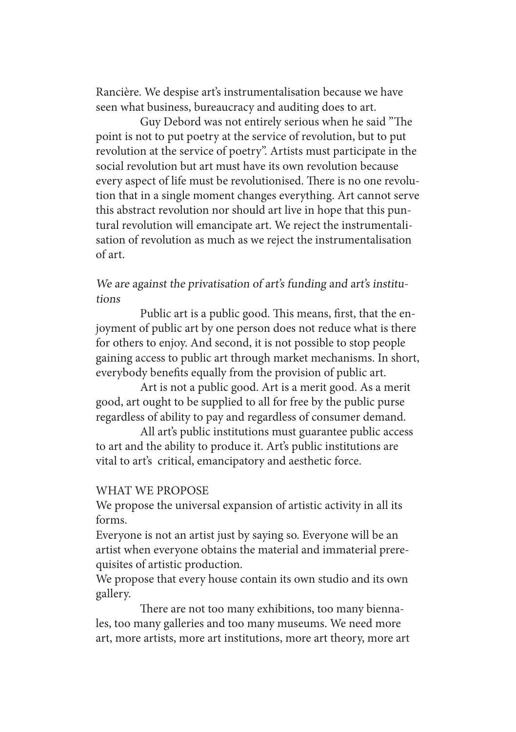Rancière. We despise art's instrumentalisation because we have seen what business, bureaucracy and auditing does to art.

Guy Debord was not entirely serious when he said "The point is not to put poetry at the service of revolution, but to put revolution at the service of poetry". Artists must participate in the social revolution but art must have its own revolution because every aspect of life must be revolutionised. There is no one revolution that in a single moment changes everything. Art cannot serve this abstract revolution nor should art live in hope that this puntural revolution will emancipate art. We reject the instrumentalisation of revolution as much as we reject the instrumentalisation of art.

# We are against the privatisation of art's funding and art's institutions

Public art is a public good. This means, first, that the enjoyment of public art by one person does not reduce what is there for others to enjoy. And second, it is not possible to stop people gaining access to public art through market mechanisms. In short, everybody benefits equally from the provision of public art.

Art is not a public good. Art is a merit good. As a merit good, art ought to be supplied to all for free by the public purse regardless of ability to pay and regardless of consumer demand.

All art's public institutions must guarantee public access to art and the ability to produce it. Art's public institutions are vital to art's critical, emancipatory and aesthetic force.

#### WHAT WE PROPOSE

We propose the universal expansion of artistic activity in all its forms.

Everyone is not an artist just by saying so. Everyone will be an artist when everyone obtains the material and immaterial prerequisites of artistic production.

We propose that every house contain its own studio and its own gallery.

There are not too many exhibitions, too many biennales, too many galleries and too many museums. We need more art, more artists, more art institutions, more art theory, more art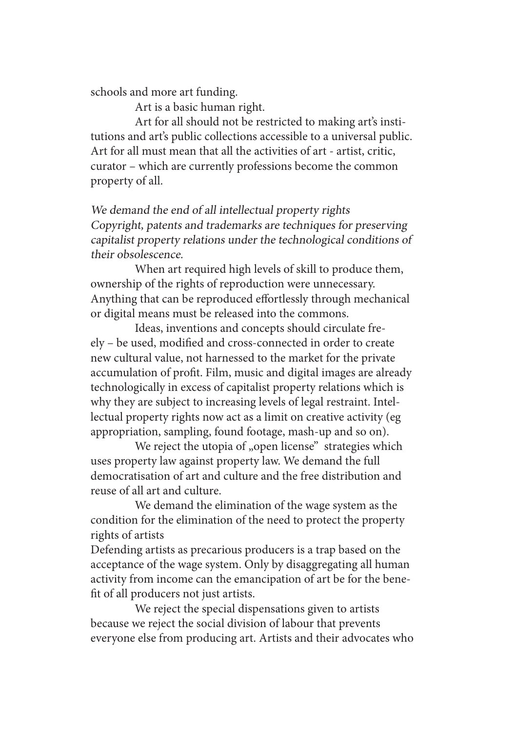schools and more art funding.

Art is a basic human right.

Art for all should not be restricted to making art's institutions and art's public collections accessible to a universal public. Art for all must mean that all the activities of art - artist, critic, curator – which are currently professions become the common property of all.

We demand the end of all intellectual property rights Copyright, patents and trademarks are techniques for preserving capitalist property relations under the technological conditions of their obsolescence.

When art required high levels of skill to produce them, ownership of the rights of reproduction were unnecessary. Anything that can be reproduced effortlessly through mechanical or digital means must be released into the commons.

Ideas, inventions and concepts should circulate freely – be used, modified and cross-connected in order to create new cultural value, not harnessed to the market for the private accumulation of profit. Film, music and digital images are already technologically in excess of capitalist property relations which is why they are subject to increasing levels of legal restraint. Intellectual property rights now act as a limit on creative activity (eg appropriation, sampling, found footage, mash-up and so on).

We reject the utopia of "open license" strategies which uses property law against property law. We demand the full democratisation of art and culture and the free distribution and reuse of all art and culture.

We demand the elimination of the wage system as the condition for the elimination of the need to protect the property rights of artists

Defending artists as precarious producers is a trap based on the acceptance of the wage system. Only by disaggregating all human activity from income can the emancipation of art be for the benefit of all producers not just artists.

We reject the special dispensations given to artists because we reject the social division of labour that prevents everyone else from producing art. Artists and their advocates who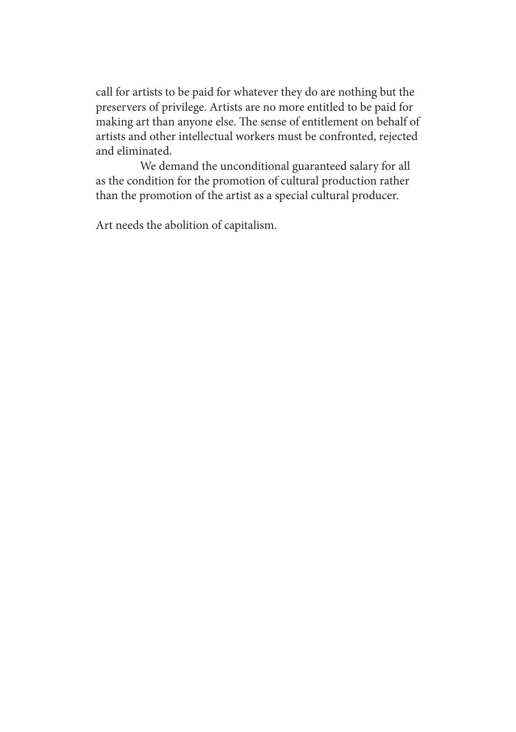call for artists to be paid for whatever they do are nothing but the preservers of privilege. Artists are no more entitled to be paid for making art than anyone else. The sense of entitlement on behalf of artists and other intellectual workers must be confronted, rejected and eliminated.

We demand the unconditional guaranteed salary for all as the condition for the promotion of cultural production rather than the promotion of the artist as a special cultural producer.

Art needs the abolition of capitalism.